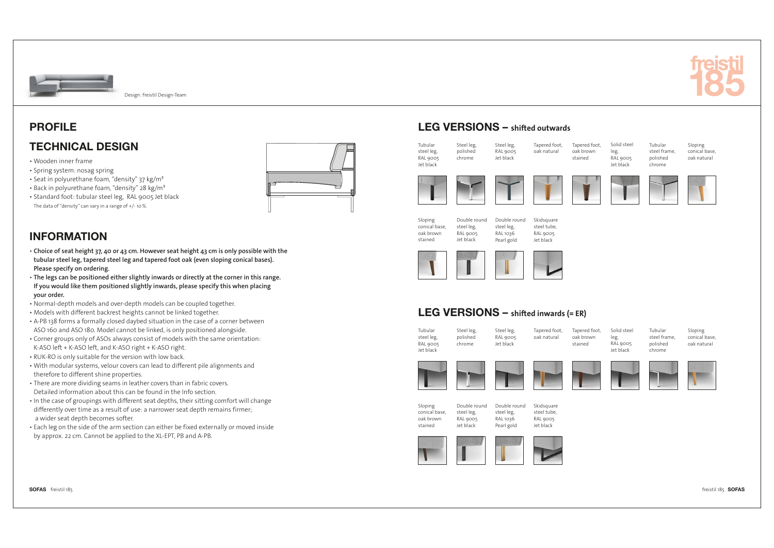

# PROFILE

## TECHNICAL DESIGN

- Wooden inner frame
- Spring system: nosag spring
- Seat in polyurethane foam, "density" 37 kg/m<sup>3</sup>
- Back in polyurethane foam, "density" 28 kg/m³
- Standard foot: tubular steel leg, RAL 9005 Jet black The data of "density" can vary in a range of +/- 10 %.



## INFORMATION

- **Choice of seat height 37, 40 or 43 cm. However seat height 43 cm is only possible with the tubular steel leg, tapered steel leg and tapered foot oak (even sloping conical bases). Please specify on ordering.**
- **The legs can be positioned either slightly inwards or directly at the corner in this range. If you would like them positioned slightly inwards, please specify this when placing your order.**
- Normal-depth models and over-depth models can be coupled together.
- Models with different backrest heights cannot be linked together.
- A-PB 138 forms a formally closed daybed situation in the case of a corner between ASO 160 and ASO 180. Model cannot be linked, is only positioned alongside.
- Corner groups only of ASOs always consist of models with the same orientation: K-ASO left + K-ASO left, and K-ASO right + K-ASO right.
- RUK-RO is only suitable for the version with low back.
- With modular systems, velour covers can lead to different pile alignments and therefore to different shine properties.
- There are more dividing seams in leather covers than in fabric covers. Detailed information about this can be found in the Info section.
- . In the case of groupings with different seat depths, their sitting comfort will change differently over time as a result of use: a narrower seat depth remains firmer; a wider seat depth becomes softer.
- Each leg on the side of the arm section can either be fixed externally or moved inside by approx. 22 cm. Cannot be applied to the XL-EPT, PB and A-PB.

# LEG VERSIONS – **shifted outwards**



# LEG VERSIONS – **shifted inwards (= ER)**

| Tubular<br>steel leg,<br><b>RAL 9005</b><br>Jet black | Steel leg,<br>polished<br>chrome | Steel leg,<br>RAL 9005<br>Jet black | Tapered foot,<br>oak natural | Tapered foot,<br>oak brown<br>stained | Solid steel<br>leg,<br>RAL 9005<br>Jet black | Tubular<br>steel frame,<br>polished<br>chrome | Sloping<br>conical base,<br>oak natural |
|-------------------------------------------------------|----------------------------------|-------------------------------------|------------------------------|---------------------------------------|----------------------------------------------|-----------------------------------------------|-----------------------------------------|
|                                                       |                                  |                                     |                              |                                       |                                              |                                               |                                         |
| Sloping                                               | Double round                     | Double round                        | Skidsguare                   |                                       |                                              |                                               |                                         |

conical base, oak brown stained Double round steel leg, RAL 9005 Jet black

steel leg, RAL 1036 Pearl gold

steel tube, RAL 9005 Jet black





SOFAS freistil 185 freistil 185 SOFAS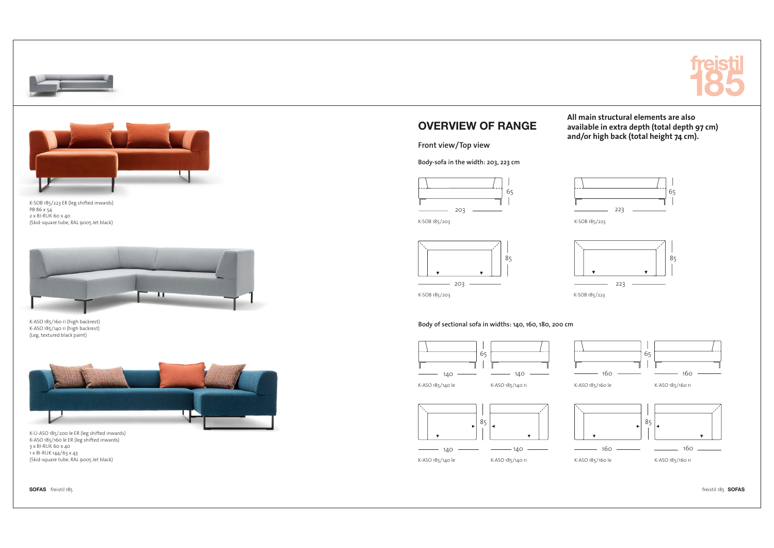





K-SOB 185/223 ER (leg shifted inwards) PB 86 x 54 2 x BI-RUK 60 x 40 (Skid-square tube, RAL 9005 Jet black)



K-ASO 185/160 ri (high backrest) K-ASO 185/140 ri (high backrest) (Leg, textured black paint)



K-Ü-ASO 185/200 le ER (leg shifted inwards) K-ASO 185/160 le ER (leg shifted inwards) 3 x BI-RUK 60 x 40 1 x BI-RUK 144/63 x 43 (Skid-square tube, RAL 9005 Jet black)

# OVERVIEW OF RANGE

**Front view/Top view**

**Body-sofa in the width: 203, 223 cm**



K-SOB 185/203





**All main structural elements are also available in extra depth (total depth 97 cm) and/or high back (total height 74 cm).**



K-SOB 185/223

K-SOB 185/203

**Body of sectional sofa in widths: 140, 160, 180, 200 cm**





K-ASO 185/140 le

K-ASO 185/140 le







K-ASO 185/140 ri



K-ASO 185/160 ri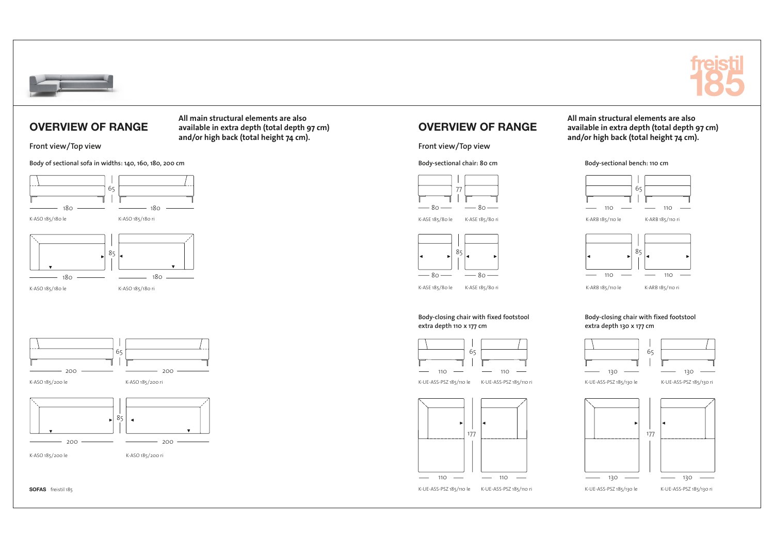

## OVERVIEW OF RANGE

**Front view/Top view**

**Body of sectional sofa in widths: 140, 160, 180, 200 cm**



65  $200$   $\longrightarrow$  200 K-ASO 185/200 le K-ASO 185/200 ri 85  $\overline{\phantom{a}}$ 

 $200 \longrightarrow 200$ 

K-ASO 185/200 ri

K-ASO 185/200 le

SOFAS freistil 185

**All main structural elements are also available in extra depth (total depth 97 cm) and/or high back (total height 74 cm).**

OVERVIEW OF RANGE

**Front view/Top view**

**Body-sectional chair: 80 cm**



K-ASE 185/80 le K-ASE 185/80 ri





65

**All main structural elements are also available in extra depth (total depth 97 cm) and/or high back (total height 74 cm).**

**Body-sectional bench: 110 cm**



K-ARB 185/110 le

K-ASE 185/80 le K-ASE 185/80 ri

**Body-closing chair with fixed footstool extra depth 110 x 177 cm**



110





**Body-closing chair with fixed footstool extra depth 130 x 177 cm**



K-ARB 185/110 ri

K-UE-ASS-PSZ 185/110 le K-UE-ASS-PSZ 185/130 le K-UE-ASS-PSZ 185/110 ri

K-UE-ASS-PSZ 185/130 ri

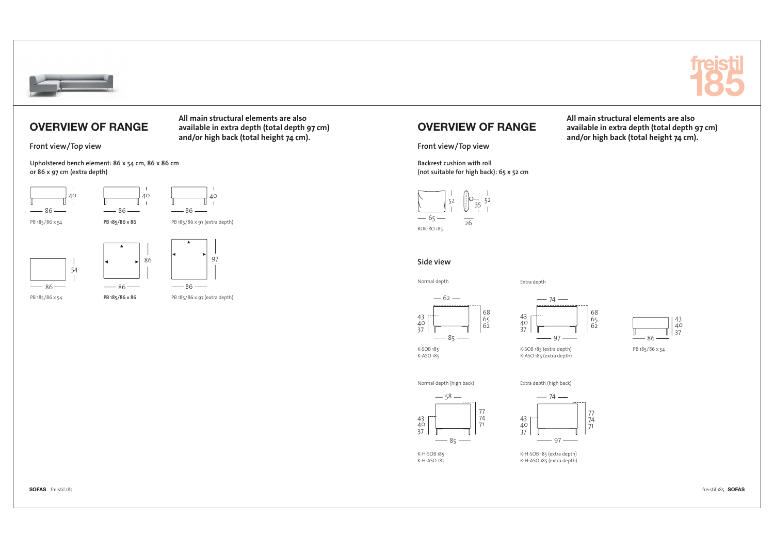

### OVERVIEW OF RANGE

**Front view/Top view**

**Upholstered bench element: 86 x 54 cm, 86 x 86 cm or 86 x 97 cm (extra depth)**



PB 185/86 x 86

PB 185/86 x 54

PB 185/86 x 97 (extra depth)

**All main structural elements are also available in extra depth (total depth 97 cm) and/or high back (total height 74 cm).**

# OVERVIEW OF RANGE

**Front view/Top view**

**Backrest cushion with roll (not suitable for high back): 65 x 52 cm**



#### **Side view**

K-SOB 185 K-ASO 185

Normal depth

Extra depth



65 62



68 65 62



PB 185/86 x 54

**All main structural elements are also available in extra depth (total depth 97 cm) and/or high back (total height 74 cm).**

Normal depth (high back)



K-H-SOB 185 K-H-ASO 185



Extra depth (high back)

K-H-SOB 185 (extra depth) K-H-ASO 185 (extra depth)



freistil 185 SOFAS